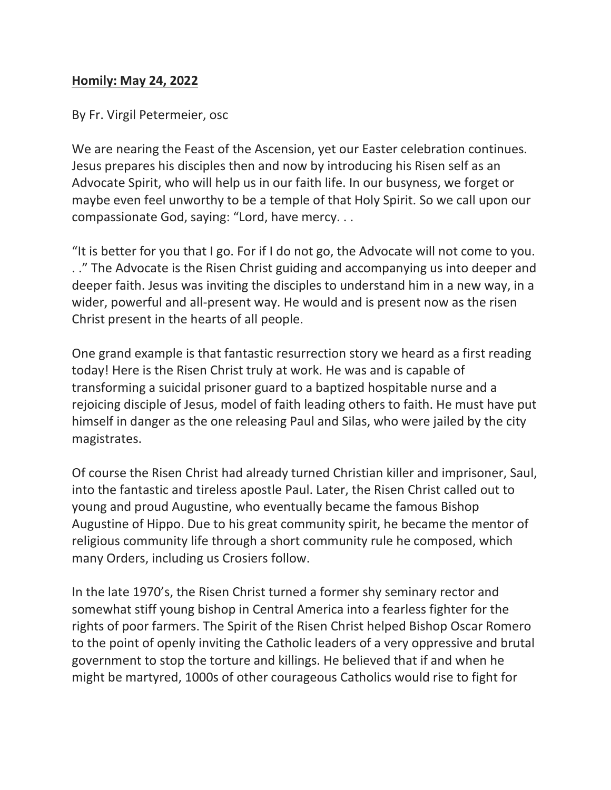## **Homily: May 24, 2022**

By Fr. Virgil Petermeier, osc

We are nearing the Feast of the Ascension, yet our Easter celebration continues. Jesus prepares his disciples then and now by introducing his Risen self as an Advocate Spirit, who will help us in our faith life. In our busyness, we forget or maybe even feel unworthy to be a temple of that Holy Spirit. So we call upon our compassionate God, saying: "Lord, have mercy. . .

"It is better for you that I go. For if I do not go, the Advocate will not come to you. . ." The Advocate is the Risen Christ guiding and accompanying us into deeper and deeper faith. Jesus was inviting the disciples to understand him in a new way, in a wider, powerful and all-present way. He would and is present now as the risen Christ present in the hearts of all people.

One grand example is that fantastic resurrection story we heard as a first reading today! Here is the Risen Christ truly at work. He was and is capable of transforming a suicidal prisoner guard to a baptized hospitable nurse and a rejoicing disciple of Jesus, model of faith leading others to faith. He must have put himself in danger as the one releasing Paul and Silas, who were jailed by the city magistrates.

Of course the Risen Christ had already turned Christian killer and imprisoner, Saul, into the fantastic and tireless apostle Paul. Later, the Risen Christ called out to young and proud Augustine, who eventually became the famous Bishop Augustine of Hippo. Due to his great community spirit, he became the mentor of religious community life through a short community rule he composed, which many Orders, including us Crosiers follow.

In the late 1970's, the Risen Christ turned a former shy seminary rector and somewhat stiff young bishop in Central America into a fearless fighter for the rights of poor farmers. The Spirit of the Risen Christ helped Bishop Oscar Romero to the point of openly inviting the Catholic leaders of a very oppressive and brutal government to stop the torture and killings. He believed that if and when he might be martyred, 1000s of other courageous Catholics would rise to fight for